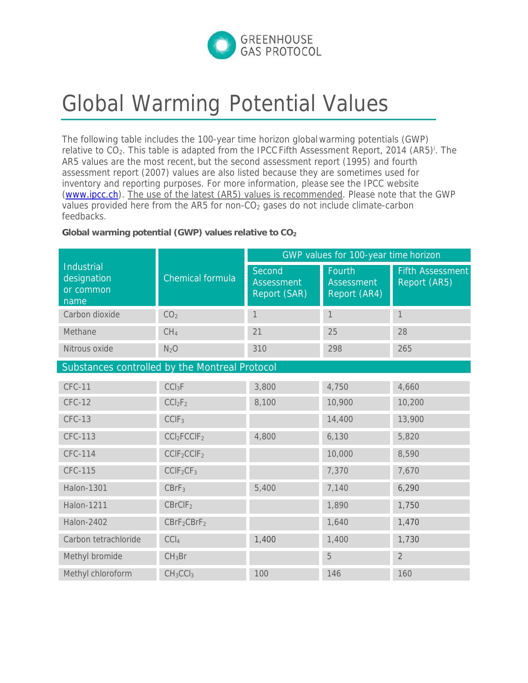

## Global Warming Potential Values

The following table includes the 100-year time horizon global warming potentials (GWP) relative to CO<sub>2</sub>. This table is adapted from the IPCC Fifth Assessment Report, 2014 (AR5)<sup>i</sup>. The AR5 values are the most recent, but the second assessment report (1995) and fourth assessment report (2007) values are also listed because they are sometimes used for inventory and reporting purposes. For more information, please see the IPCC website (www.ipcc.ch). The use of the latest (AR5) values is recommended. Please note that the GWP values provided here from the AR5 for non-CO<sub>2</sub> gases do not include climate-carbon feedbacks.

**Global warming potential (GWP) values relative to CO2**

| <b>Industrial</b><br>designation<br>or common<br>name | <b>Chemical formula</b>             | GWP values for 100-year time horizon        |                                             |                                         |
|-------------------------------------------------------|-------------------------------------|---------------------------------------------|---------------------------------------------|-----------------------------------------|
|                                                       |                                     | Second<br><b>Assessment</b><br>Report (SAR) | Fourth<br><b>Assessment</b><br>Report (AR4) | <b>Fifth Assessment</b><br>Report (AR5) |
| Carbon dioxide                                        | CO <sub>2</sub>                     | $\mathbf{1}$                                | $\mathbf{1}$                                | $\mathbf{1}$                            |
| Methane                                               | CH <sub>4</sub>                     | 21                                          | 25                                          | 28                                      |
| Nitrous oxide                                         | N <sub>2</sub> O                    | 310                                         | 298                                         | 265                                     |
| Substances controlled by the Montreal Protocol        |                                     |                                             |                                             |                                         |
| <b>CFC-11</b>                                         | CCI <sub>3</sub> F                  | 3,800                                       | 4,750                                       | 4,660                                   |
| <b>CFC-12</b>                                         | CCI <sub>2</sub> F <sub>2</sub>     | 8,100                                       | 10,900                                      | 10,200                                  |
| <b>CFC-13</b>                                         | CCIF <sub>3</sub>                   |                                             | 14,400                                      | 13,900                                  |
| <b>CFC-113</b>                                        | CCI <sub>2</sub> FCCIF <sub>2</sub> | 4,800                                       | 6,130                                       | 5,820                                   |
| <b>CFC-114</b>                                        | CCIF <sub>2</sub> CCIF <sub>2</sub> |                                             | 10,000                                      | 8,590                                   |
| <b>CFC-115</b>                                        | CCIF <sub>2</sub> CF <sub>3</sub>   |                                             | 7,370                                       | 7,670                                   |
| <b>Halon-1301</b>                                     | CBrF <sub>3</sub>                   | 5,400                                       | 7,140                                       | 6,290                                   |
| <b>Halon-1211</b>                                     | CBrCIF <sub>2</sub>                 |                                             | 1,890                                       | 1,750                                   |
| <b>Halon-2402</b>                                     | CBrF <sub>2</sub> CBrF <sub>2</sub> |                                             | 1,640                                       | 1,470                                   |
| Carbon tetrachloride                                  | CCl <sub>4</sub>                    | 1,400                                       | 1,400                                       | 1,730                                   |
| Methyl bromide                                        | CH <sub>3</sub> Br                  |                                             | 5                                           | $\overline{2}$                          |
| Methyl chloroform                                     | CH <sub>3</sub> CCI <sub>3</sub>    | 100                                         | 146                                         | 160                                     |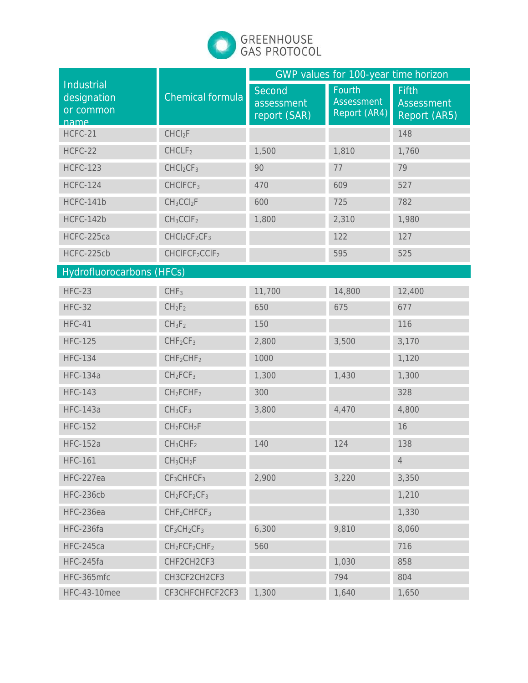

| Industrial<br>designation<br>or common<br>name | <b>Chemical formula</b>                | GWP values for 100-year time horizon |                                             |                                                   |
|------------------------------------------------|----------------------------------------|--------------------------------------|---------------------------------------------|---------------------------------------------------|
|                                                |                                        | Second<br>assessment<br>report (SAR) | Fourth<br><b>Assessment</b><br>Report (AR4) | <b>Fifth</b><br><b>Assessment</b><br>Report (AR5) |
| HCFC-21                                        | CHCl <sub>2</sub> F                    |                                      |                                             | 148                                               |
| HCFC-22                                        | CHCLF <sub>2</sub>                     | 1,500                                | 1,810                                       | 1,760                                             |
| <b>HCFC-123</b>                                | CHCl <sub>2</sub> CF <sub>3</sub>      | 90                                   | 77                                          | 79                                                |
| <b>HCFC-124</b>                                | CHCIFCF <sub>3</sub>                   | 470                                  | 609                                         | 527                                               |
| HCFC-141b                                      | $CH_3CCl_2F$                           | 600                                  | 725                                         | 782                                               |
| HCFC-142b                                      | $CH_3CCIF_2$                           | 1,800                                | 2,310                                       | 1,980                                             |
| HCFC-225ca                                     | $CHCl2CF2CF3$                          |                                      | 122                                         | 127                                               |
| HCFC-225cb                                     | CHCIFCF <sub>2</sub> CCIF <sub>2</sub> |                                      | 595                                         | 525                                               |
| <b>Hydrofluorocarbons (HFCs)</b>               |                                        |                                      |                                             |                                                   |
| <b>HFC-23</b>                                  | CHF <sub>3</sub>                       | 11,700                               | 14,800                                      | 12,400                                            |
| <b>HFC-32</b>                                  | CH <sub>2</sub> F <sub>2</sub>         | 650                                  | 675                                         | 677                                               |
| <b>HFC-41</b>                                  | $CH_3F_2$                              | 150                                  |                                             | 116                                               |
| <b>HFC-125</b>                                 | CHF <sub>2</sub> CF <sub>3</sub>       | 2,800                                | 3,500                                       | 3,170                                             |
| <b>HFC-134</b>                                 | CHF <sub>2</sub> CHF <sub>2</sub>      | 1000                                 |                                             | 1,120                                             |
| <b>HFC-134a</b>                                | CH <sub>2</sub> FCF <sub>3</sub>       | 1,300                                | 1,430                                       | 1,300                                             |
| <b>HFC-143</b>                                 | CH <sub>2</sub> FCHF <sub>2</sub>      | 300                                  |                                             | 328                                               |
| <b>HFC-143a</b>                                | CH <sub>3</sub> CF <sub>3</sub>        | 3,800                                | 4,470                                       | 4,800                                             |
| <b>HFC-152</b>                                 | $CH_2FCH_2F$                           |                                      |                                             | 16                                                |
| <b>HFC-152a</b>                                | CH <sub>3</sub> CHF <sub>2</sub>       | 140                                  | 124                                         | 138                                               |
| <b>HFC-161</b>                                 | CH <sub>3</sub> CH <sub>2</sub> F      |                                      |                                             | $\overline{4}$                                    |
| HFC-227ea                                      | CF <sub>3</sub> CHFCF <sub>3</sub>     | 2,900                                | 3,220                                       | 3,350                                             |
| HFC-236cb                                      | $CH2FCF2CF3$                           |                                      |                                             | 1,210                                             |
| HFC-236ea                                      | CHF <sub>2</sub> CHFCF <sub>3</sub>    |                                      |                                             | 1,330                                             |
| HFC-236fa                                      | $CF3CH2CF3$                            | 6,300                                | 9,810                                       | 8,060                                             |
| HFC-245ca                                      | $CH2FCF2CHF2$                          | 560                                  |                                             | 716                                               |
| HFC-245fa                                      | CHF2CH2CF3                             |                                      | 1,030                                       | 858                                               |
| HFC-365mfc                                     | CH3CF2CH2CF3                           |                                      | 794                                         | 804                                               |
| <b>HFC-43-10mee</b>                            | CF3CHFCHFCF2CF3                        | 1,300                                | 1,640                                       | 1,650                                             |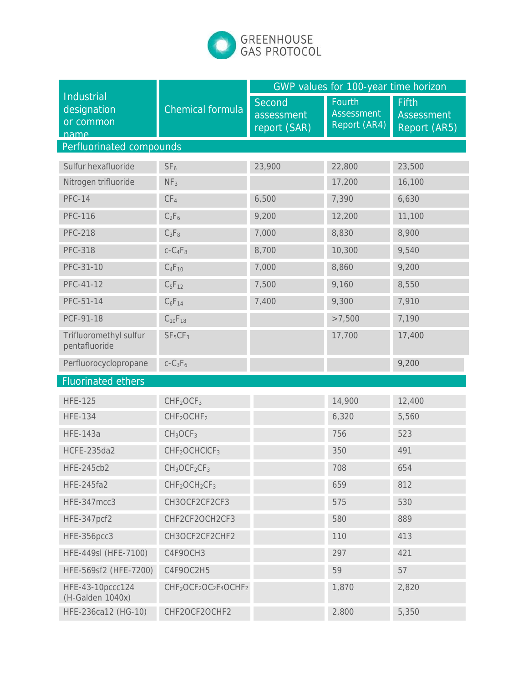

|                                                |                                                                                    | GWP values for 100-year time horizon |                                             |                                                   |
|------------------------------------------------|------------------------------------------------------------------------------------|--------------------------------------|---------------------------------------------|---------------------------------------------------|
| Industrial<br>designation<br>or common<br>name | <b>Chemical formula</b>                                                            | Second<br>assessment<br>report (SAR) | Fourth<br><b>Assessment</b><br>Report (AR4) | <b>Fifth</b><br><b>Assessment</b><br>Report (AR5) |
| Perfluorinated compounds                       |                                                                                    |                                      |                                             |                                                   |
| Sulfur hexafluoride                            | SF <sub>6</sub>                                                                    | 23,900                               | 22,800                                      | 23,500                                            |
| Nitrogen trifluoride                           | NF <sub>3</sub>                                                                    |                                      | 17,200                                      | 16,100                                            |
| <b>PFC-14</b>                                  | CF <sub>4</sub>                                                                    | 6,500                                | 7,390                                       | 6,630                                             |
| <b>PFC-116</b>                                 | $C_2F_6$                                                                           | 9,200                                | 12,200                                      | 11,100                                            |
| <b>PFC-218</b>                                 | $C_3F_8$                                                                           | 7,000                                | 8,830                                       | 8,900                                             |
| <b>PFC-318</b>                                 | $c - C_4F_8$                                                                       | 8,700                                | 10,300                                      | 9,540                                             |
| PFC-31-10                                      | $C_4F_{10}$                                                                        | 7,000                                | 8,860                                       | 9,200                                             |
| PFC-41-12                                      | $C_5F_{12}$                                                                        | 7,500                                | 9,160                                       | 8,550                                             |
| PFC-51-14                                      | $C_6F_{14}$                                                                        | 7,400                                | 9,300                                       | 7,910                                             |
| PCF-91-18                                      | $C_{10}F_{18}$                                                                     |                                      | >7,500                                      | 7,190                                             |
| Trifluoromethyl sulfur<br>pentafluoride        | SF <sub>5</sub> CF <sub>3</sub>                                                    |                                      | 17,700                                      | 17,400                                            |
| Perfluorocyclopropane                          | $c-C3F6$                                                                           |                                      |                                             | 9,200                                             |
| <b>Fluorinated ethers</b>                      |                                                                                    |                                      |                                             |                                                   |
| <b>HFE-125</b>                                 | CHF <sub>2</sub> OCF <sub>3</sub>                                                  |                                      | 14,900                                      | 12,400                                            |
| <b>HFE-134</b>                                 | CHF <sub>2</sub> OCHF <sub>2</sub>                                                 |                                      | 6,320                                       | 5,560                                             |
| <b>HFE-143a</b>                                | CH <sub>3</sub> OCF <sub>3</sub>                                                   |                                      | 756                                         | 523                                               |
| <b>HCFE-235da2</b>                             | CHF <sub>2</sub> OCHCICF <sub>3</sub>                                              |                                      | 350                                         | 491                                               |
| <b>HFE-245cb2</b>                              | $CH3OCF2CF3$                                                                       |                                      | 708                                         | 654                                               |
| <b>HFE-245fa2</b>                              | $CHF2OCH2CF3$                                                                      |                                      | 659                                         | 812                                               |
| HFE-347mcc3                                    | CH3OCF2CF2CF3                                                                      |                                      | 575                                         | 530                                               |
| HFE-347pcf2                                    | CHF2CF2OCH2CF3                                                                     |                                      | 580                                         | 889                                               |
| HFE-356pcc3                                    | CH3OCF2CF2CHF2                                                                     |                                      | 110                                         | 413                                               |
| HFE-449sl (HFE-7100)                           | C4F9OCH3                                                                           |                                      | 297                                         | 421                                               |
| HFE-569sf2 (HFE-7200)                          | C4F9OC2H5                                                                          |                                      | 59                                          | 57                                                |
| HFE-43-10pccc124<br>(H-Galden 1040x)           | CHF <sub>2</sub> OCF <sub>2</sub> OC <sub>2</sub> F <sub>4</sub> OCHF <sub>2</sub> |                                      | 1,870                                       | 2,820                                             |
| HFE-236ca12 (HG-10)                            | CHF2OCF2OCHF2                                                                      |                                      | 2,800                                       | 5,350                                             |